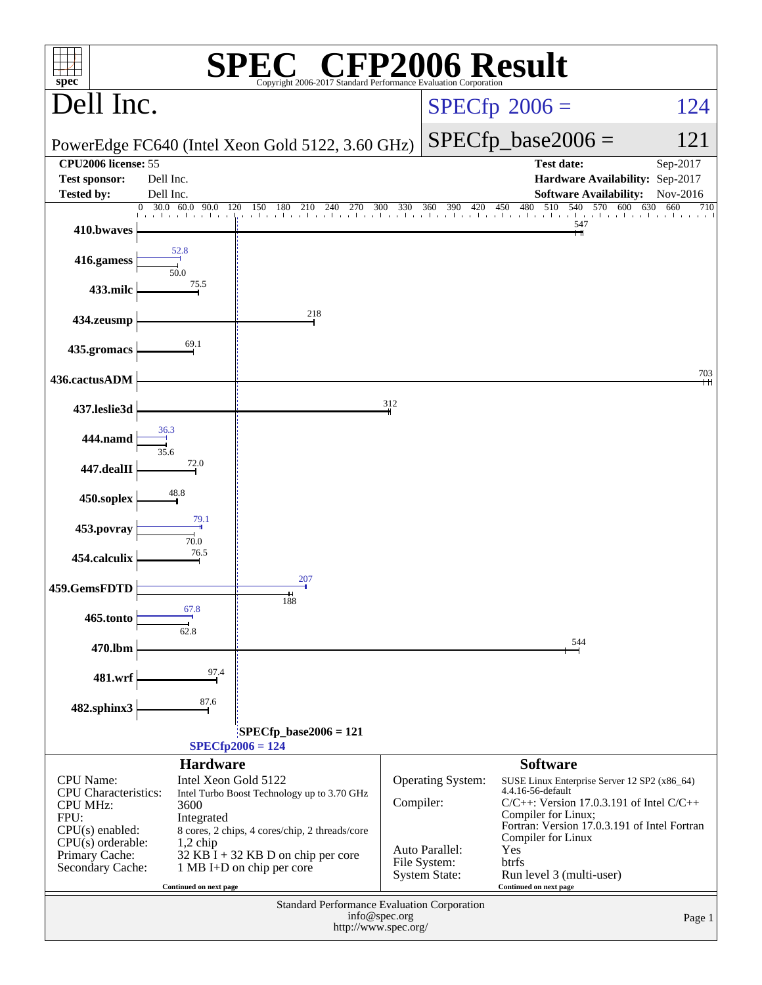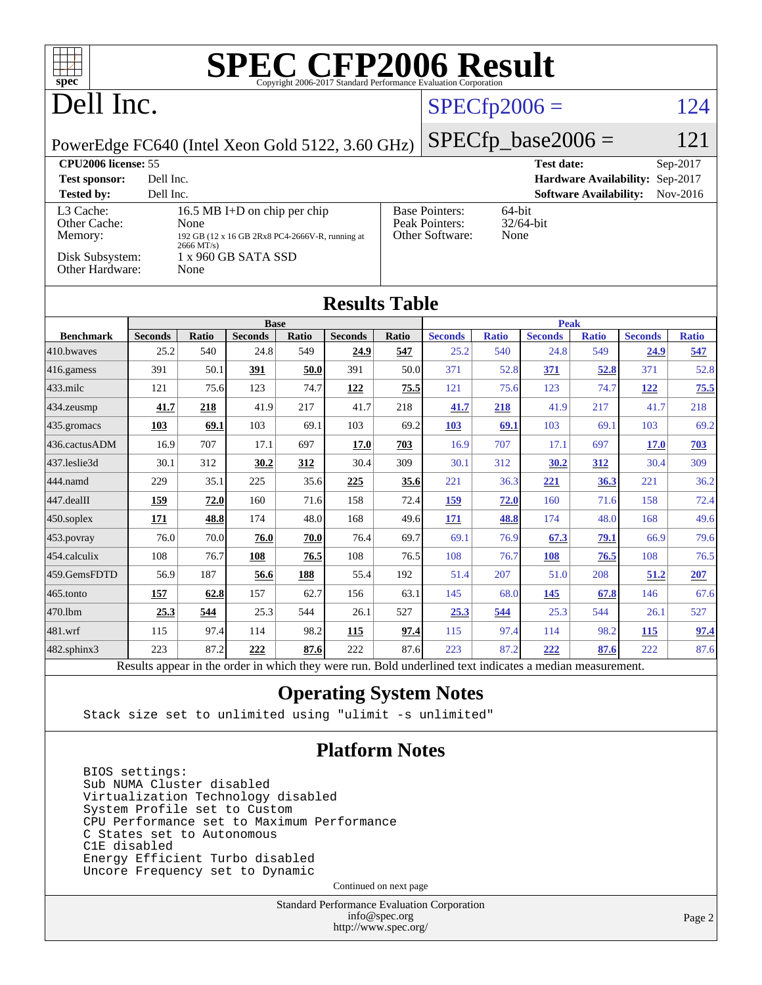| <b>SPEC CFP2006 Result</b><br>$spec^{\circ}$<br>Copyright 2006-2017 Standard Performance Evaluation Corporation |                        |              |                                                 |              |                                                                |                     |                         |                     |                        |                               |                        |                     |
|-----------------------------------------------------------------------------------------------------------------|------------------------|--------------|-------------------------------------------------|--------------|----------------------------------------------------------------|---------------------|-------------------------|---------------------|------------------------|-------------------------------|------------------------|---------------------|
| Dell Inc.                                                                                                       |                        |              |                                                 |              |                                                                |                     |                         | $SPECfp2006 =$      |                        |                               |                        | 124                 |
| PowerEdge FC640 (Intel Xeon Gold 5122, 3.60 GHz)                                                                |                        |              |                                                 |              |                                                                |                     |                         |                     | $SPECfp\_base2006 =$   |                               |                        | 121                 |
| CPU <sub>2006</sub> license: 55<br>Sep-2017<br><b>Test date:</b>                                                |                        |              |                                                 |              |                                                                |                     |                         |                     |                        |                               |                        |                     |
| <b>Test sponsor:</b><br>Dell Inc.<br>Hardware Availability: Sep-2017                                            |                        |              |                                                 |              |                                                                |                     |                         |                     |                        |                               |                        |                     |
| <b>Tested by:</b>                                                                                               | Dell Inc.              |              |                                                 |              |                                                                |                     |                         |                     |                        | <b>Software Availability:</b> |                        | Nov-2016            |
| L3 Cache:<br>16.5 MB I+D on chip per chip<br>Other Cache:<br>None                                               |                        |              |                                                 |              | <b>Base Pointers:</b><br>64-bit<br>Peak Pointers:<br>32/64-bit |                     |                         |                     |                        |                               |                        |                     |
| Memory:                                                                                                         |                        | $2666$ MT/s) | 192 GB (12 x 16 GB 2Rx8 PC4-2666V-R, running at |              |                                                                |                     | Other Software:<br>None |                     |                        |                               |                        |                     |
| Disk Subsystem:<br>1 x 960 GB SATA SSD<br>Other Hardware:<br>None                                               |                        |              |                                                 |              |                                                                |                     |                         |                     |                        |                               |                        |                     |
| <b>Results Table</b>                                                                                            |                        |              |                                                 |              |                                                                |                     |                         |                     |                        |                               |                        |                     |
|                                                                                                                 |                        |              | <b>Base</b>                                     |              |                                                                |                     |                         |                     | <b>Peak</b>            |                               |                        |                     |
| <b>Benchmark</b><br>410.bwaves                                                                                  | <b>Seconds</b><br>25.2 | Ratio<br>540 | <b>Seconds</b><br>24.8                          | Ratio<br>549 | <b>Seconds</b><br>24.9                                         | <b>Ratio</b><br>547 | <b>Seconds</b><br>25.2  | <b>Ratio</b><br>540 | <b>Seconds</b><br>24.8 | <b>Ratio</b><br>549           | <b>Seconds</b><br>24.9 | <b>Ratio</b><br>547 |
| $416$ .gamess                                                                                                   | 391                    | 50.1         | 391                                             | 50.0         | 391                                                            | 50.0                | 371                     | 52.8                | <b>371</b>             | 52.8                          | 371                    | 52.8                |
| $433$ .milc                                                                                                     | 121                    | 75.6         | 123                                             | 74.7         | 122                                                            | 75.5                | 121                     | 75.6                | 123                    | 74.7                          | 122                    | 75.5                |
| $434$ . zeusmp                                                                                                  | 41.7                   | 218          | 41.9                                            | 217          | 41.7                                                           | 218                 | 41.7                    | 218                 | 41.9                   | 217                           | 41.7                   | 218                 |
| 435.gromacs                                                                                                     | 103                    | 69.1         | 103                                             | 69.1         | 103                                                            | 69.2                | 103                     | 69.1                | 103                    | 69.1                          | 103                    | 69.2                |
| 436.cactusADM                                                                                                   | 16.9                   | 707          | 17.1                                            | 697          | 17.0                                                           | 703                 | 16.9                    | 707                 | 17.1                   | 697                           | 17.0                   | 703                 |
| 437.leslie3d                                                                                                    | 30.1                   | 312          | 30.2                                            | 312          | 30.4                                                           | 309                 | 30.1                    | 312                 | 30.2                   | 312                           | 30.4                   | 309                 |
| 444.namd                                                                                                        | 229                    | 35.1         | 225                                             | 35.6         | 225                                                            | 35.6                | 221                     | 36.3                | 221                    | 36.3                          | 221                    | 36.2                |
| 447.dealII                                                                                                      | 159                    | 72.0         | 160                                             | 71.6         | 158                                                            | 72.4                | 159                     | 72.0                | 160                    | 71.6                          | 158                    | 72.4                |
| $450$ .soplex                                                                                                   | 171                    | 48.8         | 174                                             | 48.0         | 168                                                            | 49.6                | 171                     | 48.8                | 174                    | 48.0                          | 168                    | 49.6                |
| $453$ .povray                                                                                                   | 76.0                   | 70.0         | 76.0                                            | 70.0         | 76.4                                                           | 69.7                | 69.1                    | 76.9                | 67.3                   | 79.1                          | 66.9                   | 79.6                |
| 454.calculix                                                                                                    | 108                    | 76.7         | 108                                             | 76.5         | 108                                                            | 76.5                | 108                     | 76.7                | 108                    | 76.5                          | 108                    | 76.5                |
| 459.GemsFDTD                                                                                                    | 56.9                   | 187          | 56.6                                            | 188          | 55.4                                                           | 192                 | 51.4                    | 207                 | 51.0                   | 208                           | 51.2                   | <u>207</u>          |
| 465.tonto                                                                                                       | 157                    | 62.8         | 157                                             | 62.7         | 156                                                            | 63.1                | 145                     | 68.0                | 145                    | 67.8                          | 146                    | 67.6                |
| 470.1bm                                                                                                         | 25.3                   | 544          | 25.3                                            | 544          | 26.1                                                           | 527                 | 25.3                    | 544                 | 25.3                   | 544                           | 26.1                   | 527                 |
| 481.wrf                                                                                                         | 115                    | 97.4         | 114                                             | 98.2         | 115                                                            | 97.4                | 115                     | 97.4                | 114                    | 98.2                          | 115                    | 97.4                |
| $482$ .sphinx $3$                                                                                               | 223                    | 87.2         | 222                                             | 87.6         | 222                                                            | 87.6                | 223                     | 87.2                | 222                    | 87.6                          | 222                    | 87.6                |
| Results appear in the order in which they were run. Bold underlined text indicates a median measurement.        |                        |              |                                                 |              |                                                                |                     |                         |                     |                        |                               |                        |                     |

### **[Operating System Notes](http://www.spec.org/auto/cpu2006/Docs/result-fields.html#OperatingSystemNotes)**

Stack size set to unlimited using "ulimit -s unlimited"

### **[Platform Notes](http://www.spec.org/auto/cpu2006/Docs/result-fields.html#PlatformNotes)**

 BIOS settings: Sub NUMA Cluster disabled Virtualization Technology disabled System Profile set to Custom CPU Performance set to Maximum Performance C States set to Autonomous C1E disabled Energy Efficient Turbo disabled Uncore Frequency set to Dynamic

Continued on next page

Standard Performance Evaluation Corporation [info@spec.org](mailto:info@spec.org) <http://www.spec.org/>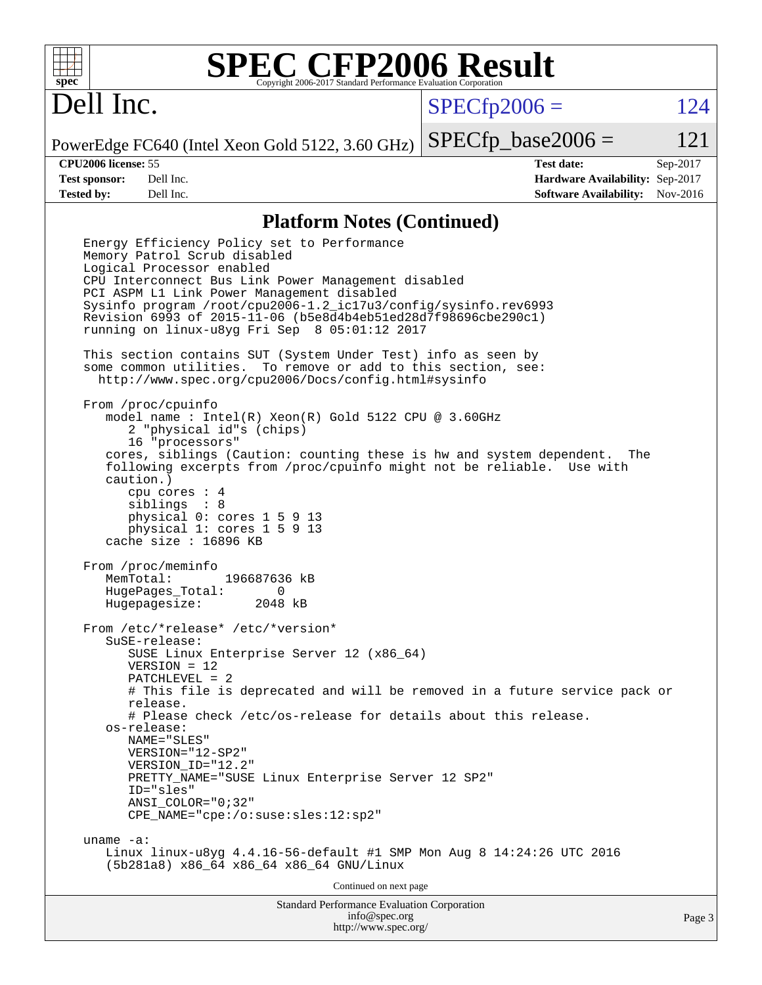

# **[SPEC CFP2006 Result](http://www.spec.org/auto/cpu2006/Docs/result-fields.html#SPECCFP2006Result)**

## Dell Inc.

 $SPECTp2006 = 124$ 

PowerEdge FC640 (Intel Xeon Gold 5122, 3.60 GHz)  $SPECTp\_base2006 = 121$ 

**[CPU2006 license:](http://www.spec.org/auto/cpu2006/Docs/result-fields.html#CPU2006license)** 55 **[Test date:](http://www.spec.org/auto/cpu2006/Docs/result-fields.html#Testdate)** Sep-2017 **[Test sponsor:](http://www.spec.org/auto/cpu2006/Docs/result-fields.html#Testsponsor)** Dell Inc. **[Hardware Availability:](http://www.spec.org/auto/cpu2006/Docs/result-fields.html#HardwareAvailability)** Sep-2017 **[Tested by:](http://www.spec.org/auto/cpu2006/Docs/result-fields.html#Testedby)** Dell Inc. **[Software Availability:](http://www.spec.org/auto/cpu2006/Docs/result-fields.html#SoftwareAvailability)** Nov-2016

### **[Platform Notes \(Continued\)](http://www.spec.org/auto/cpu2006/Docs/result-fields.html#PlatformNotes)**

Standard Performance Evaluation Corporation [info@spec.org](mailto:info@spec.org) Page 3 Energy Efficiency Policy set to Performance Memory Patrol Scrub disabled Logical Processor enabled CPU Interconnect Bus Link Power Management disabled PCI ASPM L1 Link Power Management disabled Sysinfo program /root/cpu2006-1.2\_ic17u3/config/sysinfo.rev6993 Revision 6993 of 2015-11-06 (b5e8d4b4eb51ed28d7f98696cbe290c1) running on linux-u8yg Fri Sep 8 05:01:12 2017 This section contains SUT (System Under Test) info as seen by some common utilities. To remove or add to this section, see: <http://www.spec.org/cpu2006/Docs/config.html#sysinfo> From /proc/cpuinfo model name : Intel(R) Xeon(R) Gold 5122 CPU @ 3.60GHz 2 "physical id"s (chips) 16 "processors" cores, siblings (Caution: counting these is hw and system dependent. The following excerpts from /proc/cpuinfo might not be reliable. Use with caution.) cpu cores : 4 siblings : 8 physical 0: cores 1 5 9 13 physical 1: cores 1 5 9 13 cache size : 16896 KB From /proc/meminfo MemTotal: 196687636 kB HugePages\_Total: 0 Hugepagesize: 2048 kB From /etc/\*release\* /etc/\*version\* SuSE-release: SUSE Linux Enterprise Server 12 (x86\_64) VERSION = 12 PATCHLEVEL = 2 # This file is deprecated and will be removed in a future service pack or release. # Please check /etc/os-release for details about this release. os-release: NAME="SLES" VERSION="12-SP2" VERSION\_ID="12.2" PRETTY NAME="SUSE Linux Enterprise Server 12 SP2" ID="sles" ANSI\_COLOR="0;32" CPE\_NAME="cpe:/o:suse:sles:12:sp2" uname -a: Linux linux-u8yg 4.4.16-56-default #1 SMP Mon Aug 8 14:24:26 UTC 2016 (5b281a8) x86\_64 x86\_64 x86\_64 GNU/Linux Continued on next page

<http://www.spec.org/>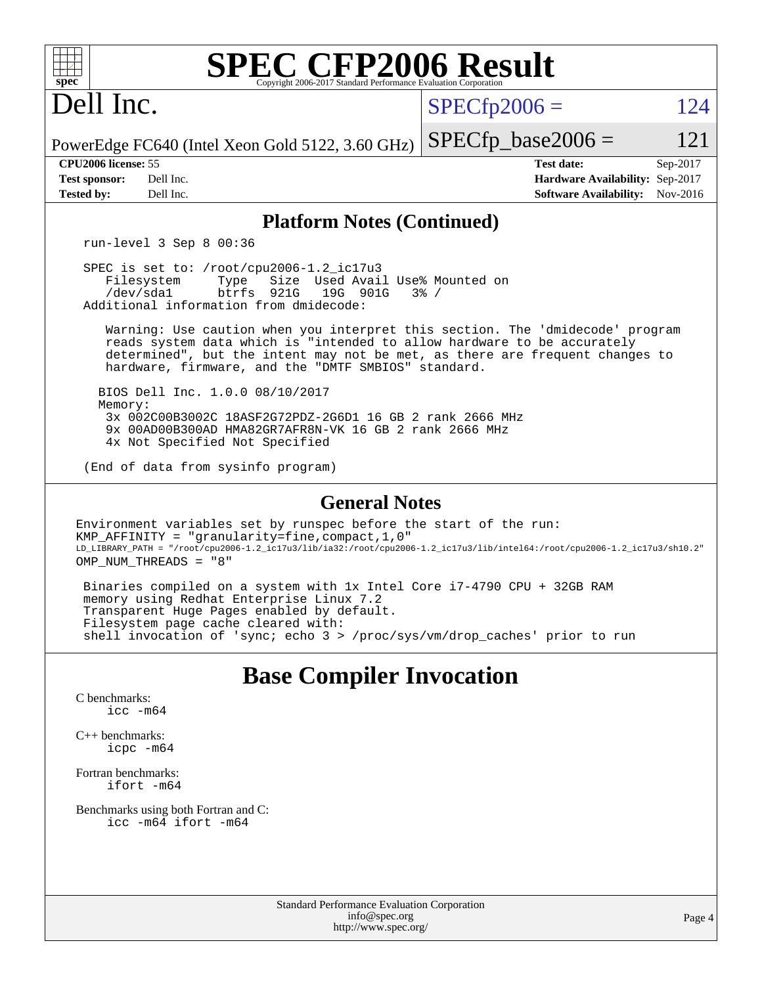| <b>SPEC CFP2006 Result</b><br>$spec^*$<br>Copyright 2006-2017 Standard Performance Evaluation Corporation                                                                                                                                                                                       |                                                                                                               |  |  |  |  |  |  |  |
|-------------------------------------------------------------------------------------------------------------------------------------------------------------------------------------------------------------------------------------------------------------------------------------------------|---------------------------------------------------------------------------------------------------------------|--|--|--|--|--|--|--|
| Dell Inc.                                                                                                                                                                                                                                                                                       | $SPECfp2006 =$<br>124                                                                                         |  |  |  |  |  |  |  |
| PowerEdge FC640 (Intel Xeon Gold 5122, 3.60 GHz)                                                                                                                                                                                                                                                | $SPECfp\_base2006 =$<br>121                                                                                   |  |  |  |  |  |  |  |
| CPU2006 license: 55<br>Dell Inc.<br><b>Test sponsor:</b><br><b>Tested by:</b><br>Dell Inc.                                                                                                                                                                                                      | <b>Test date:</b><br>Sep-2017<br>Hardware Availability: Sep-2017<br><b>Software Availability:</b><br>Nov-2016 |  |  |  |  |  |  |  |
| <b>Platform Notes (Continued)</b>                                                                                                                                                                                                                                                               |                                                                                                               |  |  |  |  |  |  |  |
| run-level $3$ Sep $8$ 00:36                                                                                                                                                                                                                                                                     |                                                                                                               |  |  |  |  |  |  |  |
| SPEC is set to: /root/cpu2006-1.2_ic17u3<br>Size Used Avail Use% Mounted on<br>Filesystem<br>Type<br>btrfs 921G<br>/dev/sda1<br>19G 901G<br>$3\frac{6}{9}$ /<br>Additional information from dmidecode:                                                                                          |                                                                                                               |  |  |  |  |  |  |  |
| Warning: Use caution when you interpret this section. The 'dmidecode' program<br>reads system data which is "intended to allow hardware to be accurately<br>determined", but the intent may not be met, as there are frequent changes to<br>hardware, firmware, and the "DMTF SMBIOS" standard. |                                                                                                               |  |  |  |  |  |  |  |
| BIOS Dell Inc. 1.0.0 08/10/2017                                                                                                                                                                                                                                                                 |                                                                                                               |  |  |  |  |  |  |  |
| Memory:<br>3x 002C00B3002C 18ASF2G72PDZ-2G6D1 16 GB 2 rank 2666 MHz<br>9x 00AD00B300AD HMA82GR7AFR8N-VK 16 GB 2 rank 2666 MHz                                                                                                                                                                   |                                                                                                               |  |  |  |  |  |  |  |
| 4x Not Specified Not Specified<br>(End of data from sysinfo program)                                                                                                                                                                                                                            |                                                                                                               |  |  |  |  |  |  |  |
| <b>General Notes</b>                                                                                                                                                                                                                                                                            |                                                                                                               |  |  |  |  |  |  |  |
| Environment variables set by runspec before the start of the run:<br>$KMP_A$ FFINITY = "granularity=fine, compact, 1, 0"<br>LD_LIBRARY_PATH = "/root/cpu2006-1.2_ic17u3/lib/ia32:/root/cpu2006-1.2_ic17u3/lib/intel64:/root/cpu2006-1.2_ic17u3/sh10.2"<br>OMP NUM THREADS = "8"                 |                                                                                                               |  |  |  |  |  |  |  |
| Binaries compiled on a system with 1x Intel Core i7-4790 CPU + 32GB RAM<br>memory using Redhat Enterprise Linux 7.2<br>Transparent Huge Pages enabled by default.<br>Filesystem page cache cleared with:<br>shell invocation of 'sync; echo 3 > /proc/sys/vm/drop_caches' prior to run          |                                                                                                               |  |  |  |  |  |  |  |
|                                                                                                                                                                                                                                                                                                 |                                                                                                               |  |  |  |  |  |  |  |
| <b>Base Compiler Invocation</b>                                                                                                                                                                                                                                                                 |                                                                                                               |  |  |  |  |  |  |  |
| C benchmarks:                                                                                                                                                                                                                                                                                   |                                                                                                               |  |  |  |  |  |  |  |

[icc -m64](http://www.spec.org/cpu2006/results/res2017q4/cpu2006-20170918-49826.flags.html#user_CCbase_intel_icc_64bit_bda6cc9af1fdbb0edc3795bac97ada53)

[C++ benchmarks:](http://www.spec.org/auto/cpu2006/Docs/result-fields.html#CXXbenchmarks) [icpc -m64](http://www.spec.org/cpu2006/results/res2017q4/cpu2006-20170918-49826.flags.html#user_CXXbase_intel_icpc_64bit_fc66a5337ce925472a5c54ad6a0de310)

[Fortran benchmarks](http://www.spec.org/auto/cpu2006/Docs/result-fields.html#Fortranbenchmarks): [ifort -m64](http://www.spec.org/cpu2006/results/res2017q4/cpu2006-20170918-49826.flags.html#user_FCbase_intel_ifort_64bit_ee9d0fb25645d0210d97eb0527dcc06e)

[Benchmarks using both Fortran and C](http://www.spec.org/auto/cpu2006/Docs/result-fields.html#BenchmarksusingbothFortranandC): [icc -m64](http://www.spec.org/cpu2006/results/res2017q4/cpu2006-20170918-49826.flags.html#user_CC_FCbase_intel_icc_64bit_bda6cc9af1fdbb0edc3795bac97ada53) [ifort -m64](http://www.spec.org/cpu2006/results/res2017q4/cpu2006-20170918-49826.flags.html#user_CC_FCbase_intel_ifort_64bit_ee9d0fb25645d0210d97eb0527dcc06e)

> Standard Performance Evaluation Corporation [info@spec.org](mailto:info@spec.org) <http://www.spec.org/>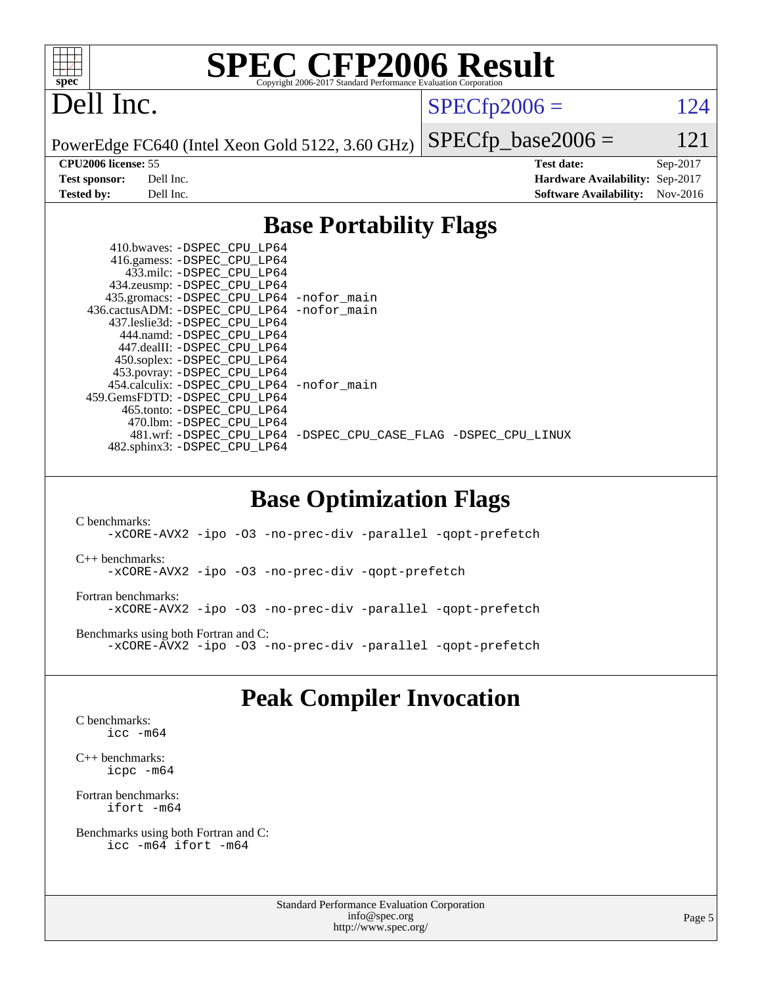

# **[SPEC CFP2006 Result](http://www.spec.org/auto/cpu2006/Docs/result-fields.html#SPECCFP2006Result)**

## Dell Inc.

 $SPECTp2006 = 124$ 

PowerEdge FC640 (Intel Xeon Gold 5122, 3.60 GHz)

 $SPECTp\_base2006 = 121$ **[CPU2006 license:](http://www.spec.org/auto/cpu2006/Docs/result-fields.html#CPU2006license)** 55 **[Test date:](http://www.spec.org/auto/cpu2006/Docs/result-fields.html#Testdate)** Sep-2017 **[Test sponsor:](http://www.spec.org/auto/cpu2006/Docs/result-fields.html#Testsponsor)** Dell Inc. **[Hardware Availability:](http://www.spec.org/auto/cpu2006/Docs/result-fields.html#HardwareAvailability)** Sep-2017 **[Tested by:](http://www.spec.org/auto/cpu2006/Docs/result-fields.html#Testedby)** Dell Inc. **[Software Availability:](http://www.spec.org/auto/cpu2006/Docs/result-fields.html#SoftwareAvailability)** Nov-2016

### **[Base Portability Flags](http://www.spec.org/auto/cpu2006/Docs/result-fields.html#BasePortabilityFlags)**

| 410.bwaves: -DSPEC CPU LP64                 |                                                                |
|---------------------------------------------|----------------------------------------------------------------|
| 416.gamess: -DSPEC_CPU_LP64                 |                                                                |
| 433.milc: -DSPEC CPU LP64                   |                                                                |
| 434.zeusmp: -DSPEC_CPU_LP64                 |                                                                |
| 435.gromacs: -DSPEC_CPU_LP64 -nofor_main    |                                                                |
| 436.cactusADM: -DSPEC CPU LP64 -nofor main  |                                                                |
| 437.leslie3d: -DSPEC CPU LP64               |                                                                |
| 444.namd: -DSPEC CPU LP64                   |                                                                |
| 447.dealII: -DSPEC CPU LP64                 |                                                                |
| 450.soplex: -DSPEC_CPU_LP64                 |                                                                |
| 453.povray: -DSPEC_CPU_LP64                 |                                                                |
| 454.calculix: - DSPEC CPU LP64 - nofor main |                                                                |
| 459. GemsFDTD: - DSPEC CPU LP64             |                                                                |
| 465.tonto: - DSPEC CPU LP64                 |                                                                |
| 470.1bm: - DSPEC CPU LP64                   |                                                                |
|                                             | 481.wrf: -DSPEC CPU_LP64 -DSPEC_CPU_CASE_FLAG -DSPEC_CPU_LINUX |
| 482.sphinx3: -DSPEC_CPU_LP64                |                                                                |
|                                             |                                                                |

### **[Base Optimization Flags](http://www.spec.org/auto/cpu2006/Docs/result-fields.html#BaseOptimizationFlags)**

[C benchmarks](http://www.spec.org/auto/cpu2006/Docs/result-fields.html#Cbenchmarks): [-xCORE-AVX2](http://www.spec.org/cpu2006/results/res2017q4/cpu2006-20170918-49826.flags.html#user_CCbase_f-xCORE-AVX2) [-ipo](http://www.spec.org/cpu2006/results/res2017q4/cpu2006-20170918-49826.flags.html#user_CCbase_f-ipo) [-O3](http://www.spec.org/cpu2006/results/res2017q4/cpu2006-20170918-49826.flags.html#user_CCbase_f-O3) [-no-prec-div](http://www.spec.org/cpu2006/results/res2017q4/cpu2006-20170918-49826.flags.html#user_CCbase_f-no-prec-div) [-parallel](http://www.spec.org/cpu2006/results/res2017q4/cpu2006-20170918-49826.flags.html#user_CCbase_f-parallel) [-qopt-prefetch](http://www.spec.org/cpu2006/results/res2017q4/cpu2006-20170918-49826.flags.html#user_CCbase_f-qopt-prefetch) [C++ benchmarks:](http://www.spec.org/auto/cpu2006/Docs/result-fields.html#CXXbenchmarks) [-xCORE-AVX2](http://www.spec.org/cpu2006/results/res2017q4/cpu2006-20170918-49826.flags.html#user_CXXbase_f-xCORE-AVX2) [-ipo](http://www.spec.org/cpu2006/results/res2017q4/cpu2006-20170918-49826.flags.html#user_CXXbase_f-ipo) [-O3](http://www.spec.org/cpu2006/results/res2017q4/cpu2006-20170918-49826.flags.html#user_CXXbase_f-O3) [-no-prec-div](http://www.spec.org/cpu2006/results/res2017q4/cpu2006-20170918-49826.flags.html#user_CXXbase_f-no-prec-div) [-qopt-prefetch](http://www.spec.org/cpu2006/results/res2017q4/cpu2006-20170918-49826.flags.html#user_CXXbase_f-qopt-prefetch) [Fortran benchmarks](http://www.spec.org/auto/cpu2006/Docs/result-fields.html#Fortranbenchmarks): [-xCORE-AVX2](http://www.spec.org/cpu2006/results/res2017q4/cpu2006-20170918-49826.flags.html#user_FCbase_f-xCORE-AVX2) [-ipo](http://www.spec.org/cpu2006/results/res2017q4/cpu2006-20170918-49826.flags.html#user_FCbase_f-ipo) [-O3](http://www.spec.org/cpu2006/results/res2017q4/cpu2006-20170918-49826.flags.html#user_FCbase_f-O3) [-no-prec-div](http://www.spec.org/cpu2006/results/res2017q4/cpu2006-20170918-49826.flags.html#user_FCbase_f-no-prec-div) [-parallel](http://www.spec.org/cpu2006/results/res2017q4/cpu2006-20170918-49826.flags.html#user_FCbase_f-parallel) [-qopt-prefetch](http://www.spec.org/cpu2006/results/res2017q4/cpu2006-20170918-49826.flags.html#user_FCbase_f-qopt-prefetch) [Benchmarks using both Fortran and C](http://www.spec.org/auto/cpu2006/Docs/result-fields.html#BenchmarksusingbothFortranandC): [-xCORE-AVX2](http://www.spec.org/cpu2006/results/res2017q4/cpu2006-20170918-49826.flags.html#user_CC_FCbase_f-xCORE-AVX2) [-ipo](http://www.spec.org/cpu2006/results/res2017q4/cpu2006-20170918-49826.flags.html#user_CC_FCbase_f-ipo) [-O3](http://www.spec.org/cpu2006/results/res2017q4/cpu2006-20170918-49826.flags.html#user_CC_FCbase_f-O3) [-no-prec-div](http://www.spec.org/cpu2006/results/res2017q4/cpu2006-20170918-49826.flags.html#user_CC_FCbase_f-no-prec-div) [-parallel](http://www.spec.org/cpu2006/results/res2017q4/cpu2006-20170918-49826.flags.html#user_CC_FCbase_f-parallel) [-qopt-prefetch](http://www.spec.org/cpu2006/results/res2017q4/cpu2006-20170918-49826.flags.html#user_CC_FCbase_f-qopt-prefetch)

### **[Peak Compiler Invocation](http://www.spec.org/auto/cpu2006/Docs/result-fields.html#PeakCompilerInvocation)**

[C benchmarks](http://www.spec.org/auto/cpu2006/Docs/result-fields.html#Cbenchmarks): [icc -m64](http://www.spec.org/cpu2006/results/res2017q4/cpu2006-20170918-49826.flags.html#user_CCpeak_intel_icc_64bit_bda6cc9af1fdbb0edc3795bac97ada53)

[C++ benchmarks:](http://www.spec.org/auto/cpu2006/Docs/result-fields.html#CXXbenchmarks) [icpc -m64](http://www.spec.org/cpu2006/results/res2017q4/cpu2006-20170918-49826.flags.html#user_CXXpeak_intel_icpc_64bit_fc66a5337ce925472a5c54ad6a0de310)

[Fortran benchmarks](http://www.spec.org/auto/cpu2006/Docs/result-fields.html#Fortranbenchmarks): [ifort -m64](http://www.spec.org/cpu2006/results/res2017q4/cpu2006-20170918-49826.flags.html#user_FCpeak_intel_ifort_64bit_ee9d0fb25645d0210d97eb0527dcc06e)

[Benchmarks using both Fortran and C](http://www.spec.org/auto/cpu2006/Docs/result-fields.html#BenchmarksusingbothFortranandC): [icc -m64](http://www.spec.org/cpu2006/results/res2017q4/cpu2006-20170918-49826.flags.html#user_CC_FCpeak_intel_icc_64bit_bda6cc9af1fdbb0edc3795bac97ada53) [ifort -m64](http://www.spec.org/cpu2006/results/res2017q4/cpu2006-20170918-49826.flags.html#user_CC_FCpeak_intel_ifort_64bit_ee9d0fb25645d0210d97eb0527dcc06e)

> Standard Performance Evaluation Corporation [info@spec.org](mailto:info@spec.org) <http://www.spec.org/>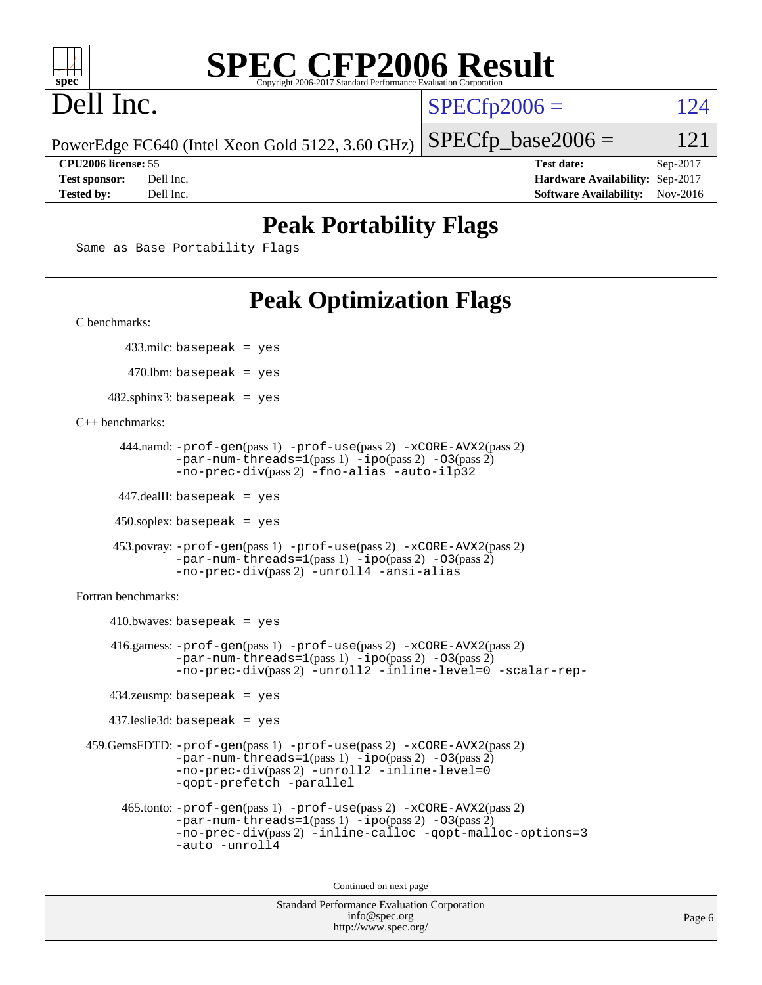

# **[SPEC CFP2006 Result](http://www.spec.org/auto/cpu2006/Docs/result-fields.html#SPECCFP2006Result)**

# Dell Inc.

 $SPECTp2006 = 124$ 

PowerEdge FC640 (Intel Xeon Gold 5122, 3.60 GHz)  $SPECTp\_base2006 = 121$ 

**[CPU2006 license:](http://www.spec.org/auto/cpu2006/Docs/result-fields.html#CPU2006license)** 55 **[Test date:](http://www.spec.org/auto/cpu2006/Docs/result-fields.html#Testdate)** Sep-2017 **[Test sponsor:](http://www.spec.org/auto/cpu2006/Docs/result-fields.html#Testsponsor)** Dell Inc. **[Hardware Availability:](http://www.spec.org/auto/cpu2006/Docs/result-fields.html#HardwareAvailability)** Sep-2017 **[Tested by:](http://www.spec.org/auto/cpu2006/Docs/result-fields.html#Testedby)** Dell Inc. **[Software Availability:](http://www.spec.org/auto/cpu2006/Docs/result-fields.html#SoftwareAvailability)** Nov-2016

### **[Peak Portability Flags](http://www.spec.org/auto/cpu2006/Docs/result-fields.html#PeakPortabilityFlags)**

Same as Base Portability Flags

## **[Peak Optimization Flags](http://www.spec.org/auto/cpu2006/Docs/result-fields.html#PeakOptimizationFlags)**

[C benchmarks](http://www.spec.org/auto/cpu2006/Docs/result-fields.html#Cbenchmarks):

433.milc: basepeak = yes

470.lbm: basepeak = yes

 $482$ .sphinx3: basepeak = yes

[C++ benchmarks:](http://www.spec.org/auto/cpu2006/Docs/result-fields.html#CXXbenchmarks)

```
 444.namd: -prof-gen(pass 1) -prof-use(pass 2) -xCORE-AVX2(pass 2)
      -par-num-threads=1-ipo-O3(pass 2)-no-prec-div(pass 2) -fno-alias -auto-ilp32
```
447.dealII: basepeak = yes

 $450$ .soplex: basepeak = yes

```
 453.povray: -prof-gen(pass 1) -prof-use(pass 2) -xCORE-AVX2(pass 2)
        -par-num-threads=1-ipo-O3(pass 2)-no-prec-div(pass 2) -unroll4 -ansi-alias
```
[Fortran benchmarks](http://www.spec.org/auto/cpu2006/Docs/result-fields.html#Fortranbenchmarks):

```
410.bwaves: basepeak = yes 416.gamess: -prof-gen(pass 1) -prof-use(pass 2) -xCORE-AVX2(pass 2)
            -par-num-threads=1-ipo-O3(pass 2)-no-prec-div(pass 2) -unroll2 -inline-level=0 -scalar-rep-
   434.zeusmp: basepeak = yes
   437.leslie3d: basepeak = yes
459.GemsFDTD: -prof-gen(pass 1) -prof-use(pass 2) -xCORE-AVX2(pass 2)
            -par-num-threads=1(pass 1) -ipo(pass 2) -O3(pass 2)
            -no-prec-div(pass 2) -unroll2 -inline-level=0
            -qopt-prefetch -parallel
     465.tonto: -prof-gen(pass 1) -prof-use(pass 2) -xCORE-AVX2(pass 2)
            -par-num-threads=1(pass 1) -ipo(pass 2) -O3(pass 2)
            -no-prec-div-inline-calloc-qopt-malloc-options=3
            -auto -unroll4
```
Continued on next page

```
Standard Performance Evaluation Corporation
            info@spec.org
          http://www.spec.org/
```